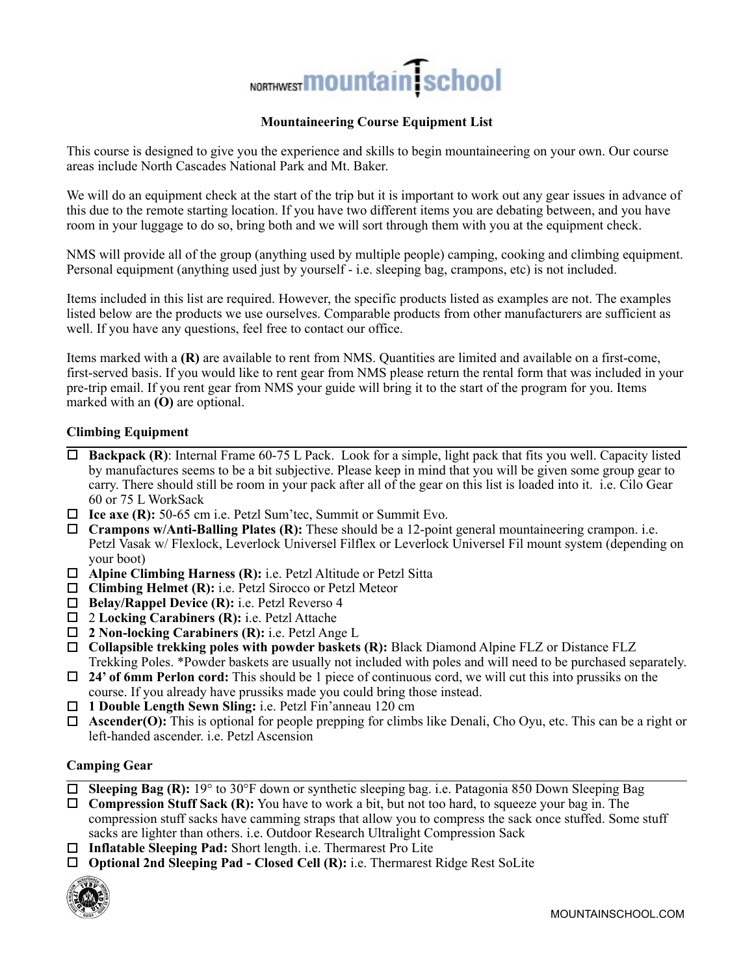

## **Mountaineering Course Equipment List**

This course is designed to give you the experience and skills to begin mountaineering on your own. Our course areas include North Cascades National Park and Mt. Baker.

We will do an equipment check at the start of the trip but it is important to work out any gear issues in advance of this due to the remote starting location. If you have two different items you are debating between, and you have room in your luggage to do so, bring both and we will sort through them with you at the equipment check.

NMS will provide all of the group (anything used by multiple people) camping, cooking and climbing equipment. Personal equipment (anything used just by yourself - i.e. sleeping bag, crampons, etc) is not included.

Items included in this list are required. However, the specific products listed as examples are not. The examples listed below are the products we use ourselves. Comparable products from other manufacturers are sufficient as well. If you have any questions, feel free to contact our office.

Items marked with a **(R)** are available to rent from NMS. Quantities are limited and available on a first-come, first-served basis. If you would like to rent gear from NMS please return the rental form that was included in your pre-trip email. If you rent gear from NMS your guide will bring it to the start of the program for you. Items marked with an **(O)** are optional.

#### **Climbing Equipment**

- $\Box$  **Backpack (R)**: Internal Frame 60-75 L Pack. Look for a simple, light pack that fits you well. Capacity listed by manufactures seems to be a bit subjective. Please keep in mind that you will be given some group gear to carry. There should still be room in your pack after all of the gear on this list is loaded into it. i.e. Cilo Gear 60 or 75 L WorkSack
- □ Ice axe (R): 50-65 cm i.e. Petzl Sum'tec, Summit or Summit Evo.
- ! **Crampons w/Anti-Balling Plates (R):** These should be a 12-point general mountaineering crampon. i.e. Petzl Vasak w/ Flexlock, Leverlock Universel Filflex or Leverlock Universel Fil mount system (depending on your boot)
- ! **Alpine Climbing Harness (R):** i.e. Petzl Altitude or Petzl Sitta
- □ Climbing Helmet (R): i.e. Petzl Sirocco or Petzl Meteor
- ! **Belay/Rappel Device (R):** i.e. Petzl Reverso 4
- ! 2 **Locking Carabiners (R):** i.e. Petzl Attache
- ! **2 Non-locking Carabiners (R):** i.e. Petzl Ange L
- ! **Collapsible trekking poles with powder baskets (R):** Black Diamond Alpine FLZ or Distance FLZ Trekking Poles. \*Powder baskets are usually not included with poles and will need to be purchased separately.
- ! **24' of 6mm Perlon cord:** This should be 1 piece of continuous cord, we will cut this into prussiks on the course. If you already have prussiks made you could bring those instead.
- ! **1 Double Length Sewn Sling:** i.e. Petzl Fin'anneau 120 cm
- ! **Ascender(O):** This is optional for people prepping for climbs like Denali, Cho Oyu, etc. This can be a right or left-handed ascender. i.e. Petzl Ascension

#### **Camping Gear**

**Sleeping Bag (R):** 19° to 30°F down or synthetic sleeping bag. i.e. Patagonia 850 Down Sleeping Bag

□ **Compression Stuff Sack (R):** You have to work a bit, but not too hard, to squeeze your bag in. The compression stuff sacks have camming straps that allow you to compress the sack once stuffed. Some stuff sacks are lighter than others. i.e. Outdoor Research Ultralight Compression Sack

- □ Inflatable Sleeping Pad: Short length. i.e. Thermarest Pro Lite
- ! **Optional 2nd Sleeping Pad Closed Cell (R):** i.e. Thermarest Ridge Rest SoLite

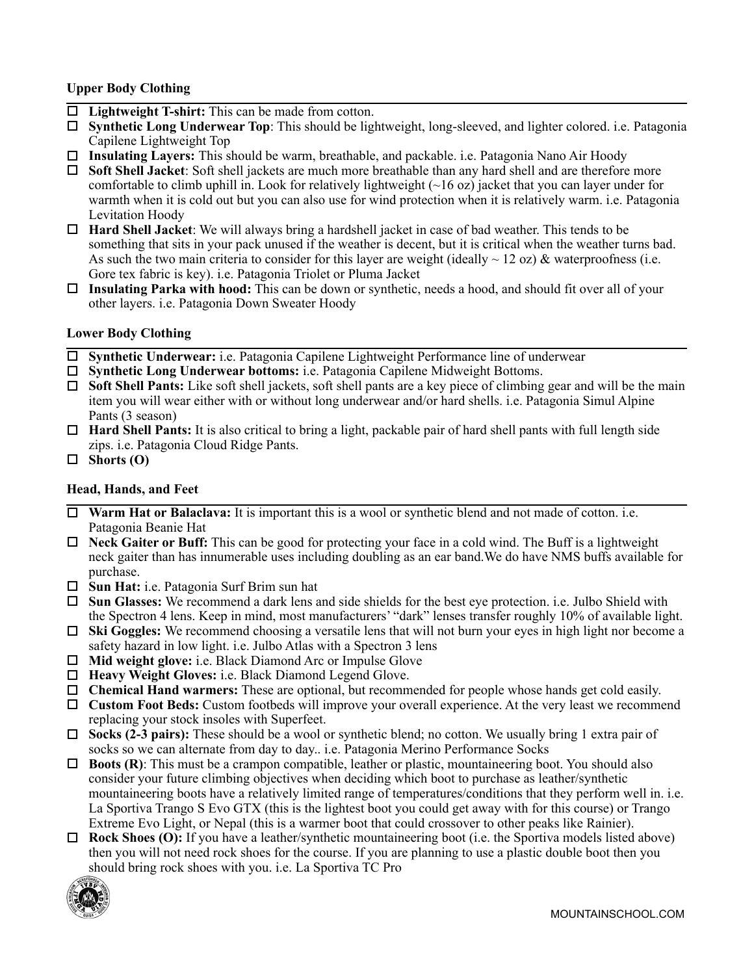# **Upper Body Clothing**

- □ Lightweight T-shirt: This can be made from cotton.
- ! **Synthetic Long Underwear Top**: This should be lightweight, long-sleeved, and lighter colored. i.e. Patagonia Capilene Lightweight Top
- ! **Insulating Layers:** This should be warm, breathable, and packable. i.e. Patagonia Nano Air Hoody
- ! **Soft Shell Jacket**: Soft shell jackets are much more breathable than any hard shell and are therefore more comfortable to climb uphill in. Look for relatively lightweight (~16 oz) jacket that you can layer under for warmth when it is cold out but you can also use for wind protection when it is relatively warm. i.e. Patagonia Levitation Hoody
- ! **Hard Shell Jacket**: We will always bring a hardshell jacket in case of bad weather. This tends to be something that sits in your pack unused if the weather is decent, but it is critical when the weather turns bad. As such the two main criteria to consider for this layer are weight (ideally  $\sim$  12 oz) & waterproofness (i.e. Gore tex fabric is key). i.e. Patagonia Triolet or Pluma Jacket
- ! **Insulating Parka with hood:** This can be down or synthetic, needs a hood, and should fit over all of your other layers. i.e. Patagonia Down Sweater Hoody

#### **Lower Body Clothing**

- ! **Synthetic Underwear:** i.e. Patagonia Capilene Lightweight Performance line of underwear
- ! **Synthetic Long Underwear bottoms:** i.e. Patagonia Capilene Midweight Bottoms.
- ! **Soft Shell Pants:** Like soft shell jackets, soft shell pants are a key piece of climbing gear and will be the main item you will wear either with or without long underwear and/or hard shells. i.e. Patagonia Simul Alpine Pants (3 season)
- ! **Hard Shell Pants:** It is also critical to bring a light, packable pair of hard shell pants with full length side zips. i.e. Patagonia Cloud Ridge Pants.
- $\Box$  Shorts (O)

### **Head, Hands, and Feet**

- □ **Warm Hat or Balaclava:** It is important this is a wool or synthetic blend and not made of cotton. i.e. Patagonia Beanie Hat
- ! **Neck Gaiter or Buff:** This can be good for protecting your face in a cold wind. The Buff is a lightweight neck gaiter than has innumerable uses including doubling as an ear band.We do have NMS buffs available for purchase.
- ! **Sun Hat:** i.e. Patagonia Surf Brim sun hat
- ! **Sun Glasses:** We recommend a dark lens and side shields for the best eye protection. i.e. Julbo Shield with the Spectron 4 lens. Keep in mind, most manufacturers' "dark" lenses transfer roughly 10% of available light.
- ! **Ski Goggles:** We recommend choosing a versatile lens that will not burn your eyes in high light nor become a safety hazard in low light. i.e. Julbo Atlas with a Spectron 3 lens
- □ **Mid weight glove:** i.e. Black Diamond Arc or Impulse Glove
- □ **Heavy Weight Gloves:** i.e. Black Diamond Legend Glove.
- ! **Chemical Hand warmers:** These are optional, but recommended for people whose hands get cold easily.
- ! **Custom Foot Beds:** Custom footbeds will improve your overall experience. At the very least we recommend replacing your stock insoles with Superfeet.
- ! **Socks (2-3 pairs):** These should be a wool or synthetic blend; no cotton. We usually bring 1 extra pair of socks so we can alternate from day to day.. i.e. Patagonia Merino Performance Socks
- ! **Boots (R)**: This must be a crampon compatible, leather or plastic, mountaineering boot. You should also consider your future climbing objectives when deciding which boot to purchase as leather/synthetic mountaineering boots have a relatively limited range of temperatures/conditions that they perform well in. i.e. La Sportiva Trango S Evo GTX (this is the lightest boot you could get away with for this course) or Trango Extreme Evo Light, or Nepal (this is a warmer boot that could crossover to other peaks like Rainier).
- □ **Rock Shoes (O):** If you have a leather/synthetic mountaineering boot (i.e. the Sportiva models listed above) then you will not need rock shoes for the course. If you are planning to use a plastic double boot then you should bring rock shoes with you. i.e. La Sportiva TC Pro